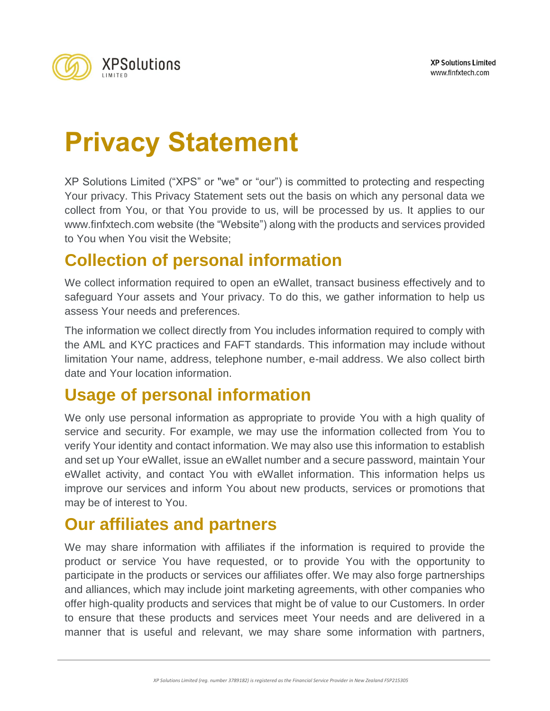

# **Privacy Statement**

XP Solutions Limited ("XPS" or "we" or "our") is committed to protecting and respecting Your privacy. This Privacy Statement sets out the basis on which any personal data we collect from You, or that You provide to us, will be processed by us. It applies to our [www.finfxtech.com](http://www.finfxtech.com/) website (the "Website") along with the products and services provided to You when You visit the Website;

#### **Collection of personal information**

We collect information required to open an eWallet, transact business effectively and to safeguard Your assets and Your privacy. To do this, we gather information to help us assess Your needs and preferences.

The information we collect directly from You includes information required to comply with the AML and KYC practices and FAFT standards. This information may include without limitation Your name, address, telephone number, e-mail address. We also collect birth date and Your location information.

## **Usage of personal information**

We only use personal information as appropriate to provide You with a high quality of service and security. For example, we may use the information collected from You to verify Your identity and contact information. We may also use this information to establish and set up Your eWallet, issue an eWallet number and a secure password, maintain Your eWallet activity, and contact You with eWallet information. This information helps us improve our services and inform You about new products, services or promotions that may be of interest to You.

#### **Our affiliates and partners**

We may share information with affiliates if the information is required to provide the product or service You have requested, or to provide You with the opportunity to participate in the products or services our affiliates offer. We may also forge partnerships and alliances, which may include joint marketing agreements, with other companies who offer high-quality products and services that might be of value to our Customers. In order to ensure that these products and services meet Your needs and are delivered in a manner that is useful and relevant, we may share some information with partners,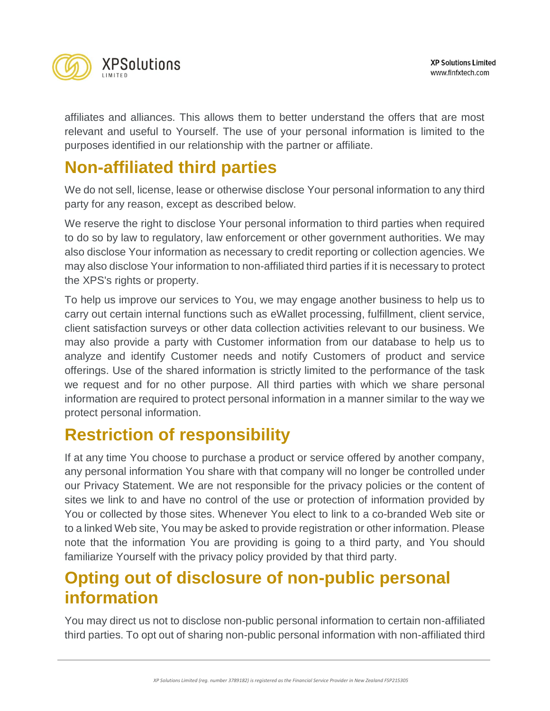

affiliates and alliances. This allows them to better understand the offers that are most relevant and useful to Yourself. The use of your personal information is limited to the purposes identified in our relationship with the partner or affiliate.

### **Non-affiliated third parties**

We do not sell, license, lease or otherwise disclose Your personal information to any third party for any reason, except as described below.

We reserve the right to disclose Your personal information to third parties when required to do so by law to regulatory, law enforcement or other government authorities. We may also disclose Your information as necessary to credit reporting or collection agencies. We may also disclose Your information to non-affiliated third parties if it is necessary to protect the XPS's rights or property.

To help us improve our services to You, we may engage another business to help us to carry out certain internal functions such as eWallet processing, fulfillment, client service, client satisfaction surveys or other data collection activities relevant to our business. We may also provide a party with Customer information from our database to help us to analyze and identify Customer needs and notify Customers of product and service offerings. Use of the shared information is strictly limited to the performance of the task we request and for no other purpose. All third parties with which we share personal information are required to protect personal information in a manner similar to the way we protect personal information.

## **Restriction of responsibility**

If at any time You choose to purchase a product or service offered by another company, any personal information You share with that company will no longer be controlled under our Privacy Statement. We are not responsible for the privacy policies or the content of sites we link to and have no control of the use or protection of information provided by You or collected by those sites. Whenever You elect to link to a co-branded Web site or to a linked Web site, You may be asked to provide registration or other information. Please note that the information You are providing is going to a third party, and You should familiarize Yourself with the privacy policy provided by that third party.

## **Opting out of disclosure of non-public personal information**

You may direct us not to disclose non-public personal information to certain non-affiliated third parties. To opt out of sharing non-public personal information with non-affiliated third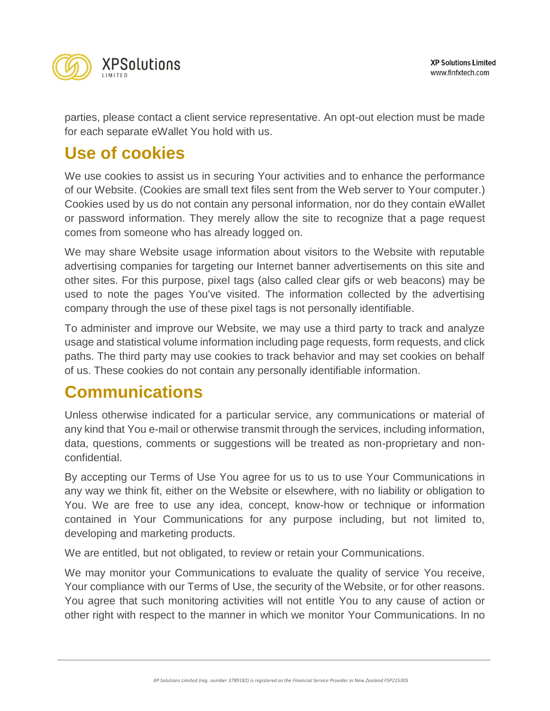

parties, please contact a client service representative. An opt-out election must be made for each separate eWallet You hold with us.

### **Use of cookies**

We use cookies to assist us in securing Your activities and to enhance the performance of our Website. (Cookies are small text files sent from the Web server to Your computer.) Cookies used by us do not contain any personal information, nor do they contain eWallet or password information. They merely allow the site to recognize that a page request comes from someone who has already logged on.

We may share Website usage information about visitors to the Website with reputable advertising companies for targeting our Internet banner advertisements on this site and other sites. For this purpose, pixel tags (also called clear gifs or web beacons) may be used to note the pages You've visited. The information collected by the advertising company through the use of these pixel tags is not personally identifiable.

To administer and improve our Website, we may use a third party to track and analyze usage and statistical volume information including page requests, form requests, and click paths. The third party may use cookies to track behavior and may set cookies on behalf of us. These cookies do not contain any personally identifiable information.

#### **Communications**

Unless otherwise indicated for a particular service, any communications or material of any kind that You e-mail or otherwise transmit through the services, including information, data, questions, comments or suggestions will be treated as non-proprietary and nonconfidential.

By accepting our Terms of Use You agree for us to us to use Your Communications in any way we think fit, either on the Website or elsewhere, with no liability or obligation to You. We are free to use any idea, concept, know-how or technique or information contained in Your Communications for any purpose including, but not limited to, developing and marketing products.

We are entitled, but not obligated, to review or retain your Communications.

We may monitor your Communications to evaluate the quality of service You receive, Your compliance with our Terms of Use, the security of the Website, or for other reasons. You agree that such monitoring activities will not entitle You to any cause of action or other right with respect to the manner in which we monitor Your Communications. In no